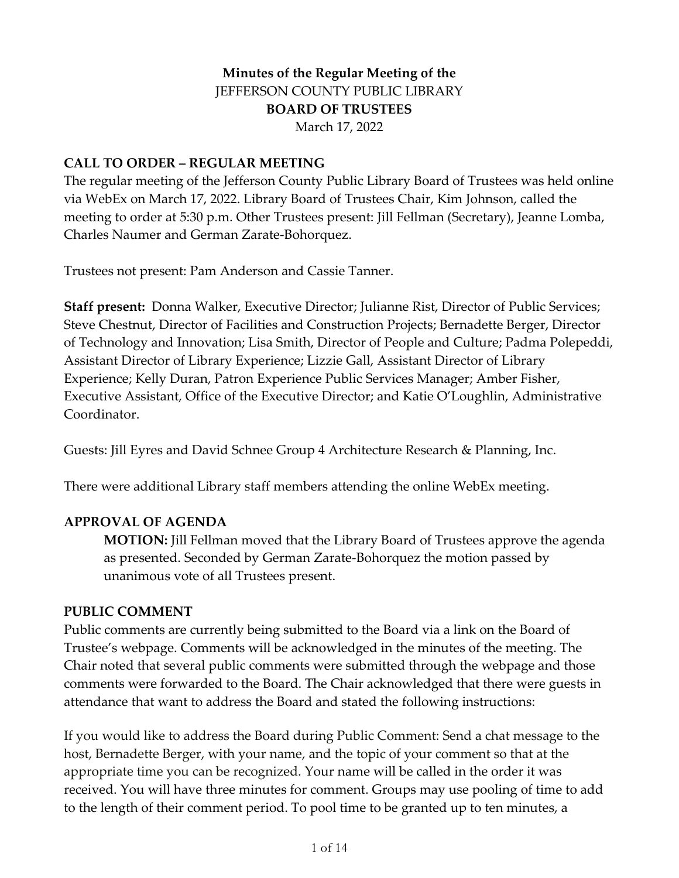# **Minutes of the Regular Meeting of the** JEFFERSON COUNTY PUBLIC LIBRARY **BOARD OF TRUSTEES** March 17, 2022

#### **CALL TO ORDER – REGULAR MEETING**

The regular meeting of the Jefferson County Public Library Board of Trustees was held online via WebEx on March 17, 2022. Library Board of Trustees Chair, Kim Johnson, called the meeting to order at 5:30 p.m. Other Trustees present: Jill Fellman (Secretary), Jeanne Lomba, Charles Naumer and German Zarate-Bohorquez.

Trustees not present: Pam Anderson and Cassie Tanner.

**Staff present:** Donna Walker, Executive Director; Julianne Rist, Director of Public Services; Steve Chestnut, Director of Facilities and Construction Projects; Bernadette Berger, Director of Technology and Innovation; Lisa Smith, Director of People and Culture; Padma Polepeddi, Assistant Director of Library Experience; Lizzie Gall, Assistant Director of Library Experience; Kelly Duran, Patron Experience Public Services Manager; Amber Fisher, Executive Assistant, Office of the Executive Director; and Katie O'Loughlin, Administrative Coordinator.

Guests: Jill Eyres and David Schnee Group 4 Architecture Research & Planning, Inc.

There were additional Library staff members attending the online WebEx meeting.

### **APPROVAL OF AGENDA**

**MOTION:** Jill Fellman moved that the Library Board of Trustees approve the agenda as presented. Seconded by German Zarate-Bohorquez the motion passed by unanimous vote of all Trustees present.

#### **PUBLIC COMMENT**

Public comments are currently being submitted to the Board via a link on the Board of Trustee's webpage. Comments will be acknowledged in the minutes of the meeting. The Chair noted that several public comments were submitted through the webpage and those comments were forwarded to the Board. The Chair acknowledged that there were guests in attendance that want to address the Board and stated the following instructions:

If you would like to address the Board during Public Comment: Send a chat message to the host, Bernadette Berger, with your name, and the topic of your comment so that at the appropriate time you can be recognized. Your name will be called in the order it was received. You will have three minutes for comment. Groups may use pooling of time to add to the length of their comment period. To pool time to be granted up to ten minutes, a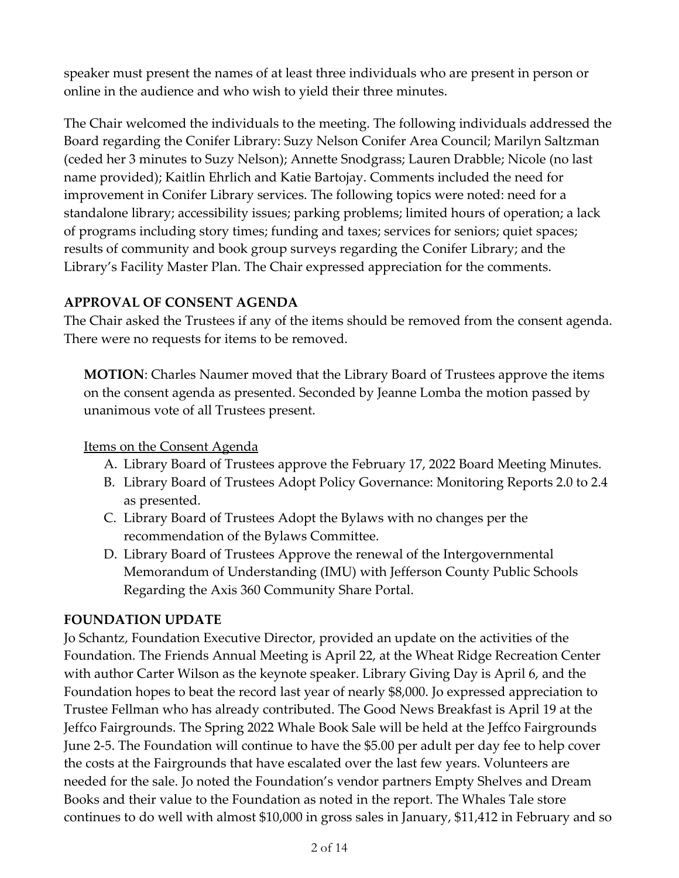speaker must present the names of at least three individuals who are present in person or online in the audience and who wish to yield their three minutes.

The Chair welcomed the individuals to the meeting. The following individuals addressed the Board regarding the Conifer Library: Suzy Nelson Conifer Area Council; Marilyn Saltzman (ceded her 3 minutes to Suzy Nelson); Annette Snodgrass; Lauren Drabble; Nicole (no last name provided); Kaitlin Ehrlich and Katie Bartojay. Comments included the need for improvement in Conifer Library services. The following topics were noted: need for a standalone library; accessibility issues; parking problems; limited hours of operation; a lack of programs including story times; funding and taxes; services for seniors; quiet spaces; results of community and book group surveys regarding the Conifer Library; and the Library's Facility Master Plan. The Chair expressed appreciation for the comments.

## **APPROVAL OF CONSENT AGENDA**

The Chair asked the Trustees if any of the items should be removed from the consent agenda. There were no requests for items to be removed.

**MOTION**: Charles Naumer moved that the Library Board of Trustees approve the items on the consent agenda as presented. Seconded by Jeanne Lomba the motion passed by unanimous vote of all Trustees present.

## Items on the Consent Agenda

- A. Library Board of Trustees approve the February 17, 2022 Board Meeting Minutes.
- B. Library Board of Trustees Adopt Policy Governance: Monitoring Reports 2.0 to 2.4 as presented.
- C. Library Board of Trustees Adopt the Bylaws with no changes per the recommendation of the Bylaws Committee.
- D. Library Board of Trustees Approve the renewal of the Intergovernmental Memorandum of Understanding (IMU) with Jefferson County Public Schools Regarding the Axis 360 Community Share Portal.

# **FOUNDATION UPDATE**

Jo Schantz, Foundation Executive Director, provided an update on the activities of the Foundation. The Friends Annual Meeting is April 22, at the Wheat Ridge Recreation Center with author Carter Wilson as the keynote speaker. Library Giving Day is April 6, and the Foundation hopes to beat the record last year of nearly \$8,000. Jo expressed appreciation to Trustee Fellman who has already contributed. The Good News Breakfast is April 19 at the Jeffco Fairgrounds. The Spring 2022 Whale Book Sale will be held at the Jeffco Fairgrounds June 2-5. The Foundation will continue to have the \$5.00 per adult per day fee to help cover the costs at the Fairgrounds that have escalated over the last few years. Volunteers are needed for the sale. Jo noted the Foundation's vendor partners Empty Shelves and Dream Books and their value to the Foundation as noted in the report. The Whales Tale store continues to do well with almost \$10,000 in gross sales in January, \$11,412 in February and so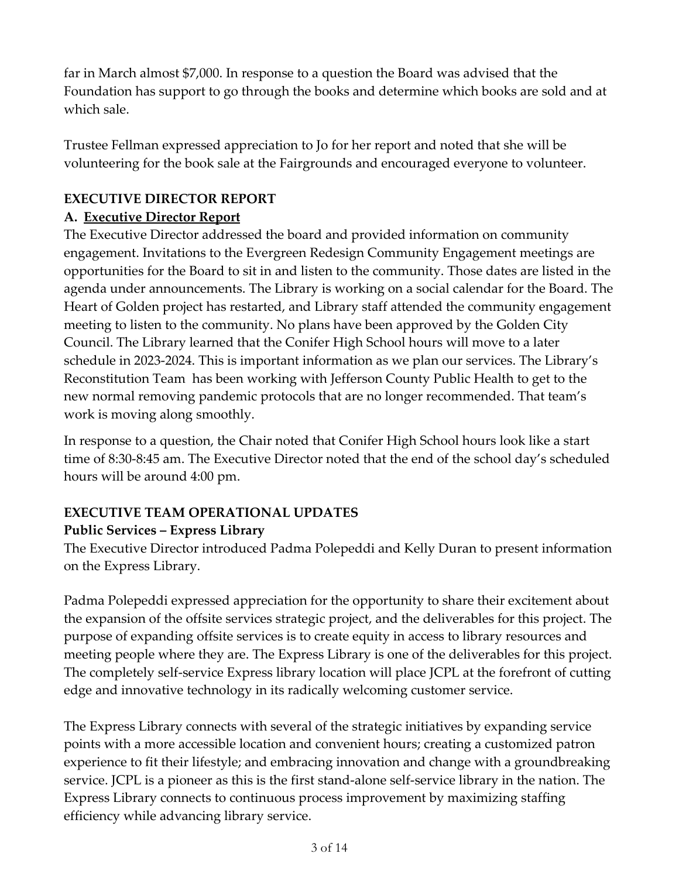far in March almost \$7,000. In response to a question the Board was advised that the Foundation has support to go through the books and determine which books are sold and at which sale.

Trustee Fellman expressed appreciation to Jo for her report and noted that she will be volunteering for the book sale at the Fairgrounds and encouraged everyone to volunteer.

# **EXECUTIVE DIRECTOR REPORT**

# **A. Executive Director Report**

The Executive Director addressed the board and provided information on community engagement. Invitations to the Evergreen Redesign Community Engagement meetings are opportunities for the Board to sit in and listen to the community. Those dates are listed in the agenda under announcements. The Library is working on a social calendar for the Board. The Heart of Golden project has restarted, and Library staff attended the community engagement meeting to listen to the community. No plans have been approved by the Golden City Council. The Library learned that the Conifer High School hours will move to a later schedule in 2023-2024. This is important information as we plan our services. The Library's Reconstitution Team has been working with Jefferson County Public Health to get to the new normal removing pandemic protocols that are no longer recommended. That team's work is moving along smoothly.

In response to a question, the Chair noted that Conifer High School hours look like a start time of 8:30-8:45 am. The Executive Director noted that the end of the school day's scheduled hours will be around 4:00 pm.

## **EXECUTIVE TEAM OPERATIONAL UPDATES Public Services – Express Library**

The Executive Director introduced Padma Polepeddi and Kelly Duran to present information on the Express Library.

Padma Polepeddi expressed appreciation for the opportunity to share their excitement about the expansion of the offsite services strategic project, and the deliverables for this project. The purpose of expanding offsite services is to create equity in access to library resources and meeting people where they are. The Express Library is one of the deliverables for this project. The completely self-service Express library location will place JCPL at the forefront of cutting edge and innovative technology in its radically welcoming customer service.

The Express Library connects with several of the strategic initiatives by expanding service points with a more accessible location and convenient hours; creating a customized patron experience to fit their lifestyle; and embracing innovation and change with a groundbreaking service. JCPL is a pioneer as this is the first stand-alone self-service library in the nation. The Express Library connects to continuous process improvement by maximizing staffing efficiency while advancing library service.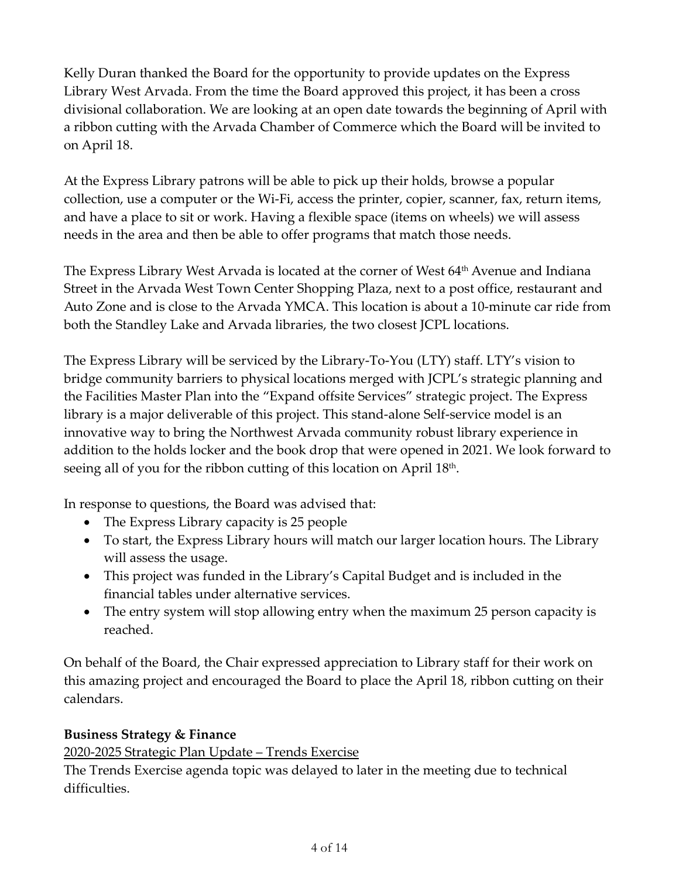Kelly Duran thanked the Board for the opportunity to provide updates on the Express Library West Arvada. From the time the Board approved this project, it has been a cross divisional collaboration. We are looking at an open date towards the beginning of April with a ribbon cutting with the Arvada Chamber of Commerce which the Board will be invited to on April 18.

At the Express Library patrons will be able to pick up their holds, browse a popular collection, use a computer or the Wi-Fi, access the printer, copier, scanner, fax, return items, and have a place to sit or work. Having a flexible space (items on wheels) we will assess needs in the area and then be able to offer programs that match those needs.

The Express Library West Arvada is located at the corner of West 64<sup>th</sup> Avenue and Indiana Street in the Arvada West Town Center Shopping Plaza, next to a post office, restaurant and Auto Zone and is close to the Arvada YMCA. This location is about a 10-minute car ride from both the Standley Lake and Arvada libraries, the two closest JCPL locations.

The Express Library will be serviced by the Library-To-You (LTY) staff. LTY's vision to bridge community barriers to physical locations merged with JCPL's strategic planning and the Facilities Master Plan into the "Expand offsite Services" strategic project. The Express library is a major deliverable of this project. This stand-alone Self-service model is an innovative way to bring the Northwest Arvada community robust library experience in addition to the holds locker and the book drop that were opened in 2021. We look forward to seeing all of you for the ribbon cutting of this location on April 18<sup>th</sup>.

In response to questions, the Board was advised that:

- The Express Library capacity is 25 people
- To start, the Express Library hours will match our larger location hours. The Library will assess the usage.
- This project was funded in the Library's Capital Budget and is included in the financial tables under alternative services.
- The entry system will stop allowing entry when the maximum 25 person capacity is reached.

On behalf of the Board, the Chair expressed appreciation to Library staff for their work on this amazing project and encouraged the Board to place the April 18, ribbon cutting on their calendars.

### **Business Strategy & Finance**

2020-2025 Strategic Plan Update – Trends Exercise

The Trends Exercise agenda topic was delayed to later in the meeting due to technical difficulties.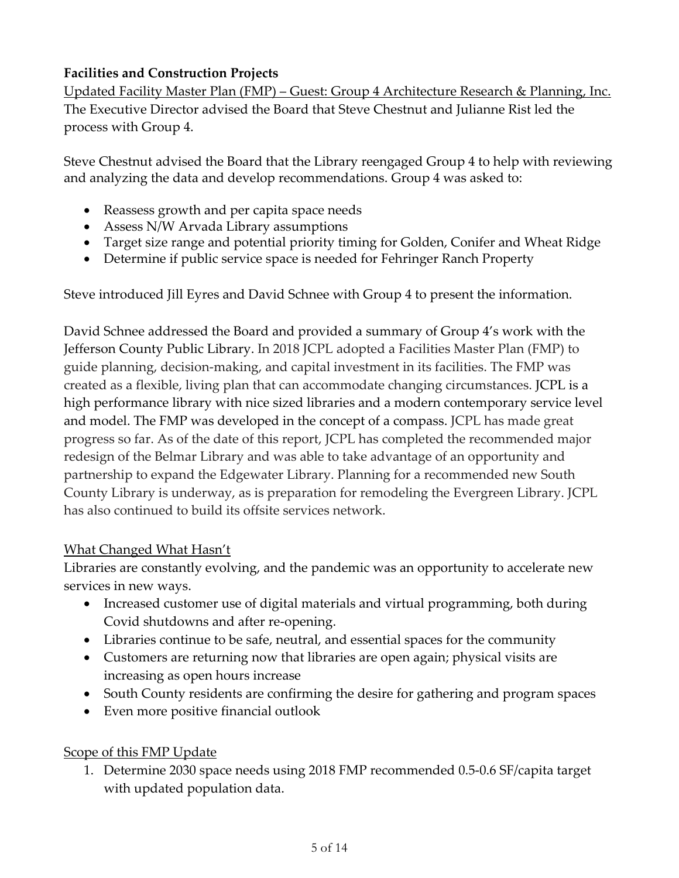# **Facilities and Construction Projects**

Updated Facility Master Plan (FMP) – Guest: Group 4 Architecture Research & Planning, Inc. The Executive Director advised the Board that Steve Chestnut and Julianne Rist led the process with Group 4.

Steve Chestnut advised the Board that the Library reengaged Group 4 to help with reviewing and analyzing the data and develop recommendations. Group 4 was asked to:

- Reassess growth and per capita space needs
- Assess N/W Arvada Library assumptions
- Target size range and potential priority timing for Golden, Conifer and Wheat Ridge
- Determine if public service space is needed for Fehringer Ranch Property

Steve introduced Jill Eyres and David Schnee with Group 4 to present the information.

David Schnee addressed the Board and provided a summary of Group 4's work with the Jefferson County Public Library. In 2018 JCPL adopted a Facilities Master Plan (FMP) to guide planning, decision-making, and capital investment in its facilities. The FMP was created as a flexible, living plan that can accommodate changing circumstances. JCPL is a high performance library with nice sized libraries and a modern contemporary service level and model. The FMP was developed in the concept of a compass. JCPL has made great progress so far. As of the date of this report, JCPL has completed the recommended major redesign of the Belmar Library and was able to take advantage of an opportunity and partnership to expand the Edgewater Library. Planning for a recommended new South County Library is underway, as is preparation for remodeling the Evergreen Library. JCPL has also continued to build its offsite services network.

### What Changed What Hasn't

Libraries are constantly evolving, and the pandemic was an opportunity to accelerate new services in new ways.

- Increased customer use of digital materials and virtual programming, both during Covid shutdowns and after re-opening.
- Libraries continue to be safe, neutral, and essential spaces for the community
- Customers are returning now that libraries are open again; physical visits are increasing as open hours increase
- South County residents are confirming the desire for gathering and program spaces
- Even more positive financial outlook

# Scope of this FMP Update

1. Determine 2030 space needs using 2018 FMP recommended 0.5-0.6 SF/capita target with updated population data.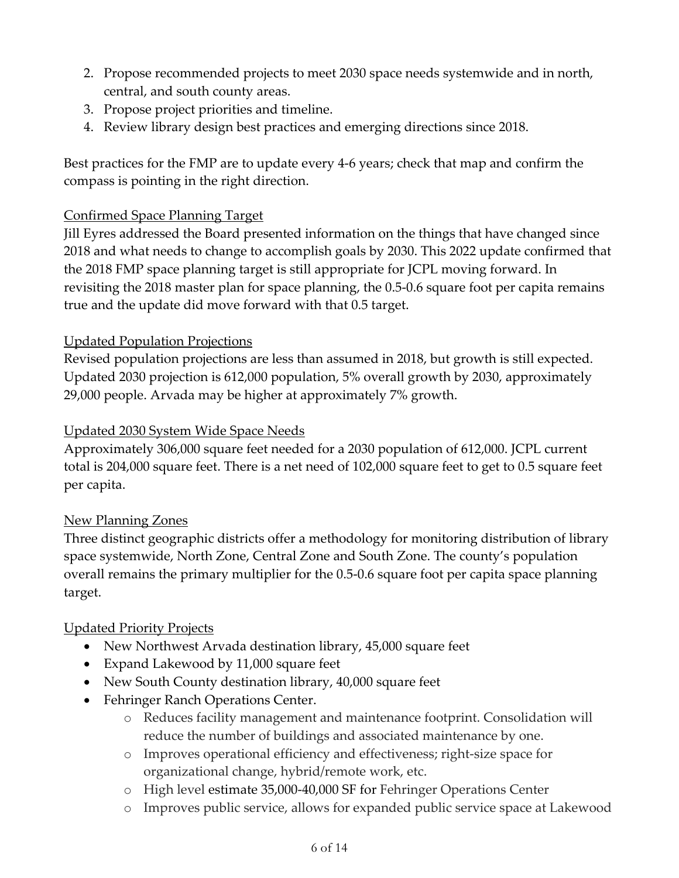- 2. Propose recommended projects to meet 2030 space needs systemwide and in north, central, and south county areas.
- 3. Propose project priorities and timeline.
- 4. Review library design best practices and emerging directions since 2018.

Best practices for the FMP are to update every 4-6 years; check that map and confirm the compass is pointing in the right direction.

# Confirmed Space Planning Target

Jill Eyres addressed the Board presented information on the things that have changed since 2018 and what needs to change to accomplish goals by 2030. This 2022 update confirmed that the 2018 FMP space planning target is still appropriate for JCPL moving forward. In revisiting the 2018 master plan for space planning, the 0.5-0.6 square foot per capita remains true and the update did move forward with that 0.5 target.

# Updated Population Projections

Revised population projections are less than assumed in 2018, but growth is still expected. Updated 2030 projection is 612,000 population, 5% overall growth by 2030, approximately 29,000 people. Arvada may be higher at approximately 7% growth.

# Updated 2030 System Wide Space Needs

Approximately 306,000 square feet needed for a 2030 population of 612,000. JCPL current total is 204,000 square feet. There is a net need of 102,000 square feet to get to 0.5 square feet per capita.

# New Planning Zones

Three distinct geographic districts offer a methodology for monitoring distribution of library space systemwide, North Zone, Central Zone and South Zone. The county's population overall remains the primary multiplier for the 0.5-0.6 square foot per capita space planning target.

# Updated Priority Projects

- New Northwest Arvada destination library, 45,000 square feet
- Expand Lakewood by 11,000 square feet
- New South County destination library, 40,000 square feet
- Fehringer Ranch Operations Center.
	- o Reduces facility management and maintenance footprint. Consolidation will reduce the number of buildings and associated maintenance by one.
	- o Improves operational efficiency and effectiveness; right-size space for organizational change, hybrid/remote work, etc.
	- o High level estimate 35,000-40,000 SF for Fehringer Operations Center
	- o Improves public service, allows for expanded public service space at Lakewood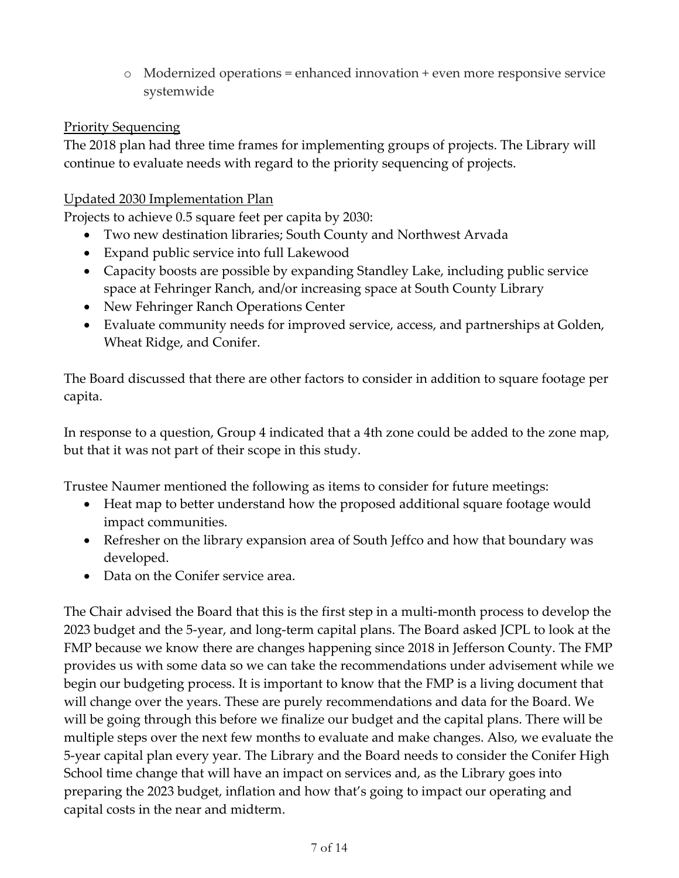o Modernized operations = enhanced innovation + even more responsive service systemwide

## **Priority Sequencing**

The 2018 plan had three time frames for implementing groups of projects. The Library will continue to evaluate needs with regard to the priority sequencing of projects.

# Updated 2030 Implementation Plan

Projects to achieve 0.5 square feet per capita by 2030:

- Two new destination libraries; South County and Northwest Arvada
- Expand public service into full Lakewood
- Capacity boosts are possible by expanding Standley Lake, including public service space at Fehringer Ranch, and/or increasing space at South County Library
- New Fehringer Ranch Operations Center
- Evaluate community needs for improved service, access, and partnerships at Golden, Wheat Ridge, and Conifer.

The Board discussed that there are other factors to consider in addition to square footage per capita.

In response to a question, Group 4 indicated that a 4th zone could be added to the zone map, but that it was not part of their scope in this study.

Trustee Naumer mentioned the following as items to consider for future meetings:

- Heat map to better understand how the proposed additional square footage would impact communities.
- Refresher on the library expansion area of South Jeffco and how that boundary was developed.
- Data on the Conifer service area.

The Chair advised the Board that this is the first step in a multi-month process to develop the 2023 budget and the 5-year, and long-term capital plans. The Board asked JCPL to look at the FMP because we know there are changes happening since 2018 in Jefferson County. The FMP provides us with some data so we can take the recommendations under advisement while we begin our budgeting process. It is important to know that the FMP is a living document that will change over the years. These are purely recommendations and data for the Board. We will be going through this before we finalize our budget and the capital plans. There will be multiple steps over the next few months to evaluate and make changes. Also, we evaluate the 5-year capital plan every year. The Library and the Board needs to consider the Conifer High School time change that will have an impact on services and, as the Library goes into preparing the 2023 budget, inflation and how that's going to impact our operating and capital costs in the near and midterm.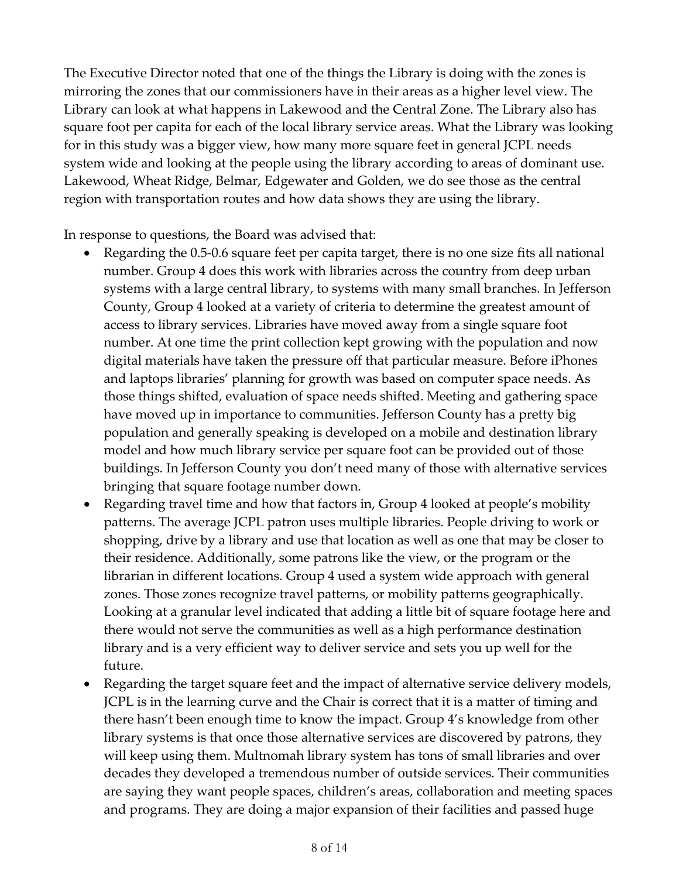The Executive Director noted that one of the things the Library is doing with the zones is mirroring the zones that our commissioners have in their areas as a higher level view. The Library can look at what happens in Lakewood and the Central Zone. The Library also has square foot per capita for each of the local library service areas. What the Library was looking for in this study was a bigger view, how many more square feet in general JCPL needs system wide and looking at the people using the library according to areas of dominant use. Lakewood, Wheat Ridge, Belmar, Edgewater and Golden, we do see those as the central region with transportation routes and how data shows they are using the library.

In response to questions, the Board was advised that:

- Regarding the 0.5-0.6 square feet per capita target, there is no one size fits all national number. Group 4 does this work with libraries across the country from deep urban systems with a large central library, to systems with many small branches. In Jefferson County, Group 4 looked at a variety of criteria to determine the greatest amount of access to library services. Libraries have moved away from a single square foot number. At one time the print collection kept growing with the population and now digital materials have taken the pressure off that particular measure. Before iPhones and laptops libraries' planning for growth was based on computer space needs. As those things shifted, evaluation of space needs shifted. Meeting and gathering space have moved up in importance to communities. Jefferson County has a pretty big population and generally speaking is developed on a mobile and destination library model and how much library service per square foot can be provided out of those buildings. In Jefferson County you don't need many of those with alternative services bringing that square footage number down.
- Regarding travel time and how that factors in, Group 4 looked at people's mobility patterns. The average JCPL patron uses multiple libraries. People driving to work or shopping, drive by a library and use that location as well as one that may be closer to their residence. Additionally, some patrons like the view, or the program or the librarian in different locations. Group 4 used a system wide approach with general zones. Those zones recognize travel patterns, or mobility patterns geographically. Looking at a granular level indicated that adding a little bit of square footage here and there would not serve the communities as well as a high performance destination library and is a very efficient way to deliver service and sets you up well for the future.
- Regarding the target square feet and the impact of alternative service delivery models, JCPL is in the learning curve and the Chair is correct that it is a matter of timing and there hasn't been enough time to know the impact. Group 4's knowledge from other library systems is that once those alternative services are discovered by patrons, they will keep using them. Multnomah library system has tons of small libraries and over decades they developed a tremendous number of outside services. Their communities are saying they want people spaces, children's areas, collaboration and meeting spaces and programs. They are doing a major expansion of their facilities and passed huge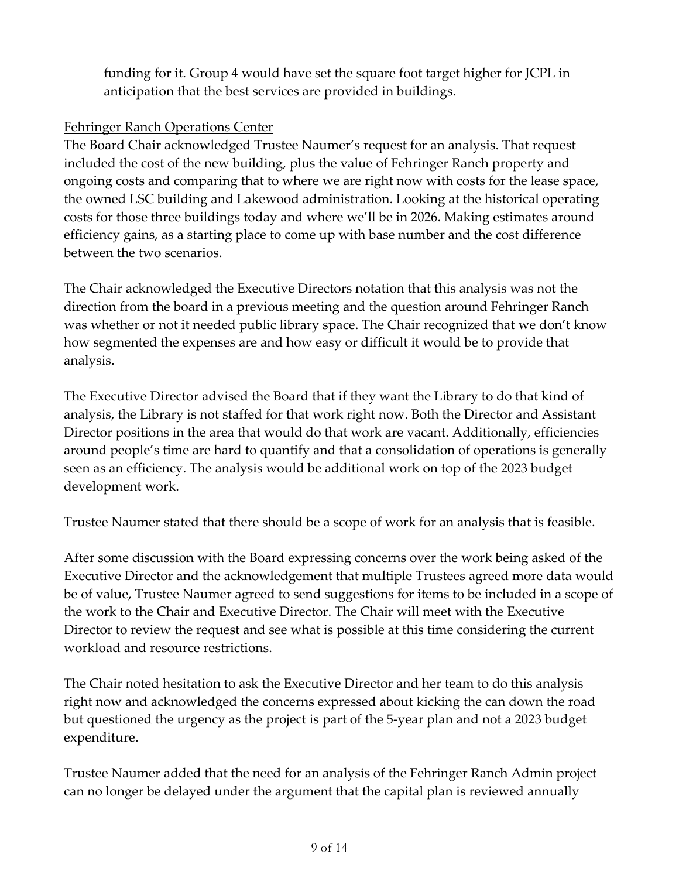funding for it. Group 4 would have set the square foot target higher for JCPL in anticipation that the best services are provided in buildings.

## Fehringer Ranch Operations Center

The Board Chair acknowledged Trustee Naumer's request for an analysis. That request included the cost of the new building, plus the value of Fehringer Ranch property and ongoing costs and comparing that to where we are right now with costs for the lease space, the owned LSC building and Lakewood administration. Looking at the historical operating costs for those three buildings today and where we'll be in 2026. Making estimates around efficiency gains, as a starting place to come up with base number and the cost difference between the two scenarios.

The Chair acknowledged the Executive Directors notation that this analysis was not the direction from the board in a previous meeting and the question around Fehringer Ranch was whether or not it needed public library space. The Chair recognized that we don't know how segmented the expenses are and how easy or difficult it would be to provide that analysis.

The Executive Director advised the Board that if they want the Library to do that kind of analysis, the Library is not staffed for that work right now. Both the Director and Assistant Director positions in the area that would do that work are vacant. Additionally, efficiencies around people's time are hard to quantify and that a consolidation of operations is generally seen as an efficiency. The analysis would be additional work on top of the 2023 budget development work.

Trustee Naumer stated that there should be a scope of work for an analysis that is feasible.

After some discussion with the Board expressing concerns over the work being asked of the Executive Director and the acknowledgement that multiple Trustees agreed more data would be of value, Trustee Naumer agreed to send suggestions for items to be included in a scope of the work to the Chair and Executive Director. The Chair will meet with the Executive Director to review the request and see what is possible at this time considering the current workload and resource restrictions.

The Chair noted hesitation to ask the Executive Director and her team to do this analysis right now and acknowledged the concerns expressed about kicking the can down the road but questioned the urgency as the project is part of the 5-year plan and not a 2023 budget expenditure.

Trustee Naumer added that the need for an analysis of the Fehringer Ranch Admin project can no longer be delayed under the argument that the capital plan is reviewed annually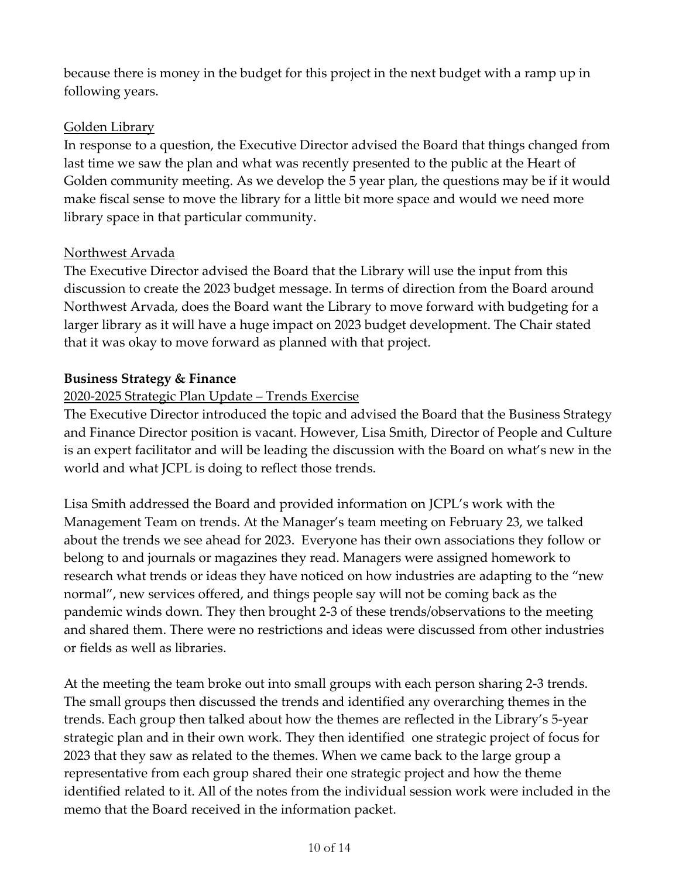because there is money in the budget for this project in the next budget with a ramp up in following years.

## Golden Library

In response to a question, the Executive Director advised the Board that things changed from last time we saw the plan and what was recently presented to the public at the Heart of Golden community meeting. As we develop the 5 year plan, the questions may be if it would make fiscal sense to move the library for a little bit more space and would we need more library space in that particular community.

## Northwest Arvada

The Executive Director advised the Board that the Library will use the input from this discussion to create the 2023 budget message. In terms of direction from the Board around Northwest Arvada, does the Board want the Library to move forward with budgeting for a larger library as it will have a huge impact on 2023 budget development. The Chair stated that it was okay to move forward as planned with that project.

## **Business Strategy & Finance**

# 2020-2025 Strategic Plan Update – Trends Exercise

The Executive Director introduced the topic and advised the Board that the Business Strategy and Finance Director position is vacant. However, Lisa Smith, Director of People and Culture is an expert facilitator and will be leading the discussion with the Board on what's new in the world and what JCPL is doing to reflect those trends.

Lisa Smith addressed the Board and provided information on JCPL's work with the Management Team on trends. At the Manager's team meeting on February 23, we talked about the trends we see ahead for 2023. Everyone has their own associations they follow or belong to and journals or magazines they read. Managers were assigned homework to research what trends or ideas they have noticed on how industries are adapting to the "new normal", new services offered, and things people say will not be coming back as the pandemic winds down. They then brought 2-3 of these trends/observations to the meeting and shared them. There were no restrictions and ideas were discussed from other industries or fields as well as libraries.

At the meeting the team broke out into small groups with each person sharing 2-3 trends. The small groups then discussed the trends and identified any overarching themes in the trends. Each group then talked about how the themes are reflected in the Library's 5-year strategic plan and in their own work. They then identified one strategic project of focus for 2023 that they saw as related to the themes. When we came back to the large group a representative from each group shared their one strategic project and how the theme identified related to it. All of the notes from the individual session work were included in the memo that the Board received in the information packet.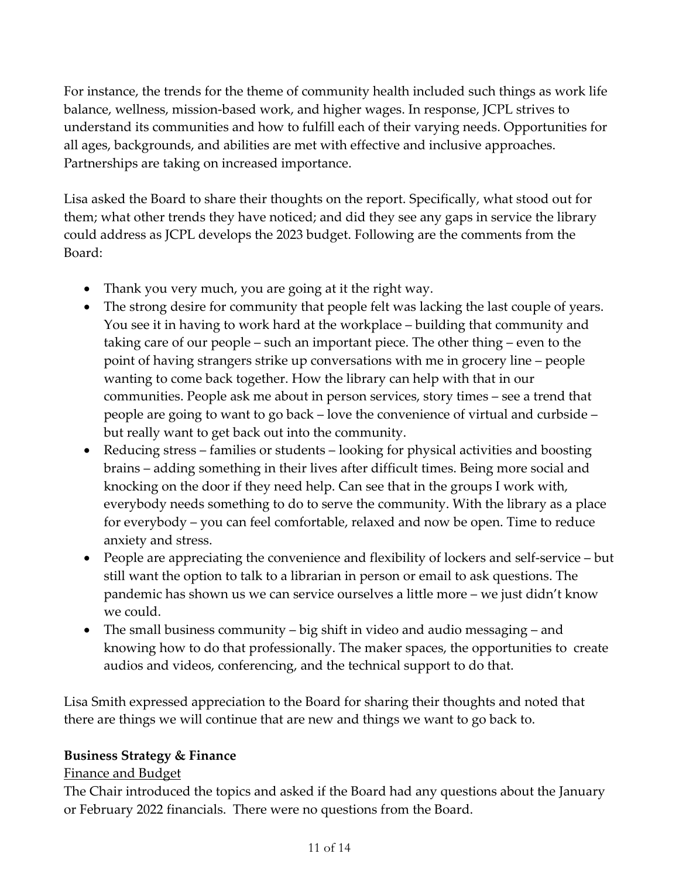For instance, the trends for the theme of community health included such things as work life balance, wellness, mission-based work, and higher wages. In response, JCPL strives to understand its communities and how to fulfill each of their varying needs. Opportunities for all ages, backgrounds, and abilities are met with effective and inclusive approaches. Partnerships are taking on increased importance.

Lisa asked the Board to share their thoughts on the report. Specifically, what stood out for them; what other trends they have noticed; and did they see any gaps in service the library could address as JCPL develops the 2023 budget. Following are the comments from the Board:

- Thank you very much, you are going at it the right way.
- The strong desire for community that people felt was lacking the last couple of years. You see it in having to work hard at the workplace – building that community and taking care of our people – such an important piece. The other thing – even to the point of having strangers strike up conversations with me in grocery line – people wanting to come back together. How the library can help with that in our communities. People ask me about in person services, story times – see a trend that people are going to want to go back – love the convenience of virtual and curbside – but really want to get back out into the community.
- Reducing stress families or students looking for physical activities and boosting brains – adding something in their lives after difficult times. Being more social and knocking on the door if they need help. Can see that in the groups I work with, everybody needs something to do to serve the community. With the library as a place for everybody – you can feel comfortable, relaxed and now be open. Time to reduce anxiety and stress.
- People are appreciating the convenience and flexibility of lockers and self-service but still want the option to talk to a librarian in person or email to ask questions. The pandemic has shown us we can service ourselves a little more – we just didn't know we could.
- The small business community big shift in video and audio messaging and knowing how to do that professionally. The maker spaces, the opportunities to create audios and videos, conferencing, and the technical support to do that.

Lisa Smith expressed appreciation to the Board for sharing their thoughts and noted that there are things we will continue that are new and things we want to go back to.

### **Business Strategy & Finance**

#### Finance and Budget

The Chair introduced the topics and asked if the Board had any questions about the January or February 2022 financials. There were no questions from the Board.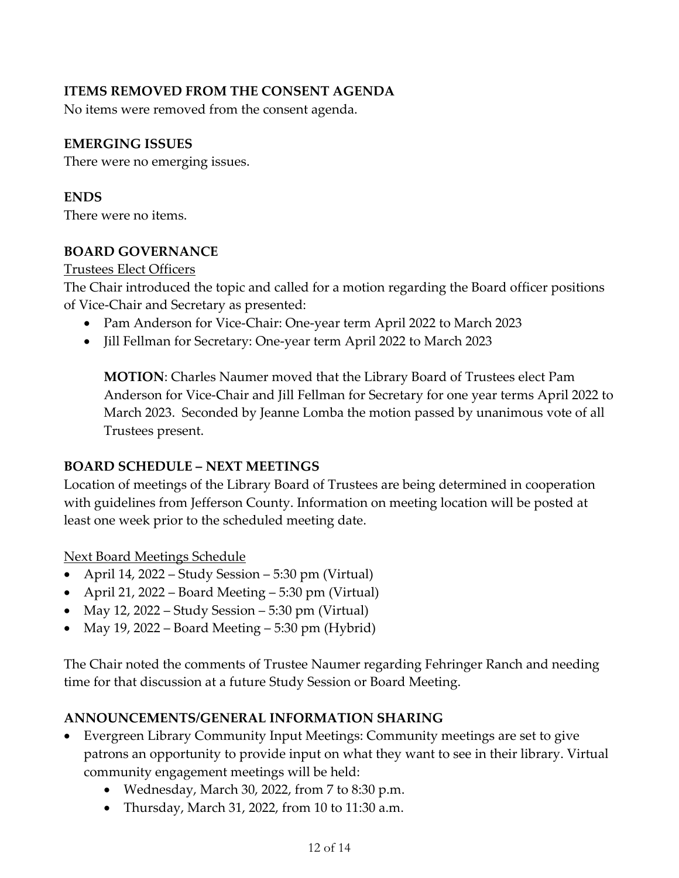## **ITEMS REMOVED FROM THE CONSENT AGENDA**

No items were removed from the consent agenda.

## **EMERGING ISSUES**

There were no emerging issues.

#### **ENDS**

There were no items.

#### **BOARD GOVERNANCE**

Trustees Elect Officers

The Chair introduced the topic and called for a motion regarding the Board officer positions of Vice-Chair and Secretary as presented:

- Pam Anderson for Vice-Chair: One-year term April 2022 to March 2023
- Jill Fellman for Secretary: One-year term April 2022 to March 2023

**MOTION**: Charles Naumer moved that the Library Board of Trustees elect Pam Anderson for Vice-Chair and Jill Fellman for Secretary for one year terms April 2022 to March 2023. Seconded by Jeanne Lomba the motion passed by unanimous vote of all Trustees present.

### **BOARD SCHEDULE – NEXT MEETINGS**

Location of meetings of the Library Board of Trustees are being determined in cooperation with guidelines from Jefferson County. Information on meeting location will be posted at least one week prior to the scheduled meeting date.

Next Board Meetings Schedule

- April 14, 2022 Study Session 5:30 pm (Virtual)
- April 21, 2022 Board Meeting 5:30 pm (Virtual)
- May 12, 2022 Study Session 5:30 pm (Virtual)
- May 19, 2022 Board Meeting 5:30 pm (Hybrid)

The Chair noted the comments of Trustee Naumer regarding Fehringer Ranch and needing time for that discussion at a future Study Session or Board Meeting.

### **ANNOUNCEMENTS/GENERAL INFORMATION SHARING**

- Evergreen Library Community Input Meetings: Community meetings are set to give patrons an opportunity to provide input on what they want to see in their library. Virtual community engagement meetings will be held:
	- Wednesday, March 30, 2022, from 7 to 8:30 p.m.
	- Thursday, March 31, 2022, from 10 to 11:30 a.m.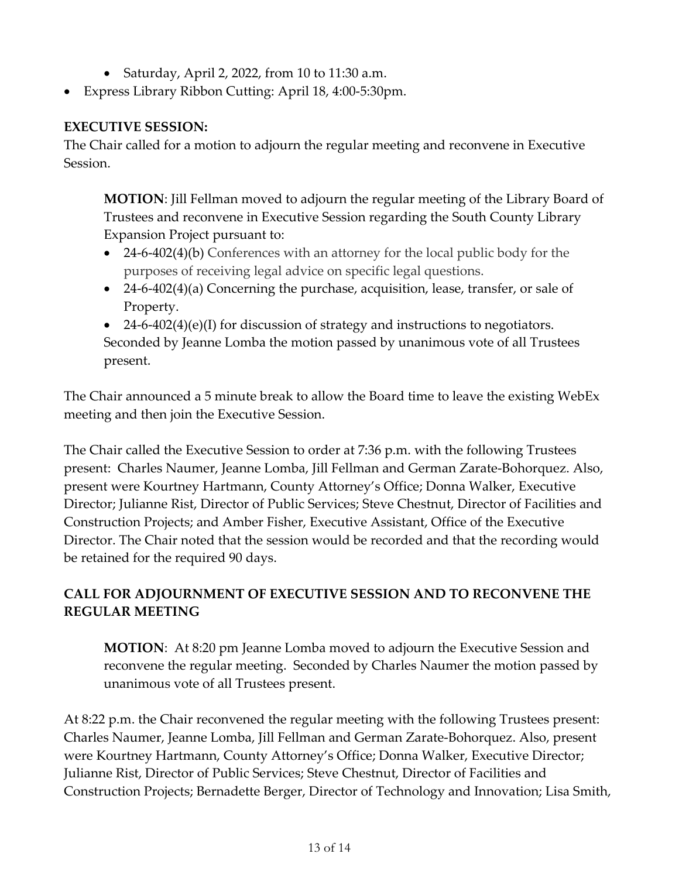- Saturday, April 2, 2022, from 10 to 11:30 a.m.
- Express Library Ribbon Cutting: April 18, 4:00-5:30pm.

# **EXECUTIVE SESSION:**

The Chair called for a motion to adjourn the regular meeting and reconvene in Executive Session.

**MOTION**: Jill Fellman moved to adjourn the regular meeting of the Library Board of Trustees and reconvene in Executive Session regarding the South County Library Expansion Project pursuant to:

- 24-6-402(4)(b) Conferences with an attorney for the local public body for the purposes of receiving legal advice on specific legal questions.
- 24-6-402(4)(a) Concerning the purchase, acquisition, lease, transfer, or sale of Property.

 $24-6-402(4)(e)(I)$  for discussion of strategy and instructions to negotiators. Seconded by Jeanne Lomba the motion passed by unanimous vote of all Trustees present.

The Chair announced a 5 minute break to allow the Board time to leave the existing WebEx meeting and then join the Executive Session.

The Chair called the Executive Session to order at 7:36 p.m. with the following Trustees present: Charles Naumer, Jeanne Lomba, Jill Fellman and German Zarate-Bohorquez. Also, present were Kourtney Hartmann, County Attorney's Office; Donna Walker, Executive Director; Julianne Rist, Director of Public Services; Steve Chestnut, Director of Facilities and Construction Projects; and Amber Fisher, Executive Assistant, Office of the Executive Director. The Chair noted that the session would be recorded and that the recording would be retained for the required 90 days.

# **CALL FOR ADJOURNMENT OF EXECUTIVE SESSION AND TO RECONVENE THE REGULAR MEETING**

**MOTION**: At 8:20 pm Jeanne Lomba moved to adjourn the Executive Session and reconvene the regular meeting. Seconded by Charles Naumer the motion passed by unanimous vote of all Trustees present.

At 8:22 p.m. the Chair reconvened the regular meeting with the following Trustees present: Charles Naumer, Jeanne Lomba, Jill Fellman and German Zarate-Bohorquez. Also, present were Kourtney Hartmann, County Attorney's Office; Donna Walker, Executive Director; Julianne Rist, Director of Public Services; Steve Chestnut, Director of Facilities and Construction Projects; Bernadette Berger, Director of Technology and Innovation; Lisa Smith,